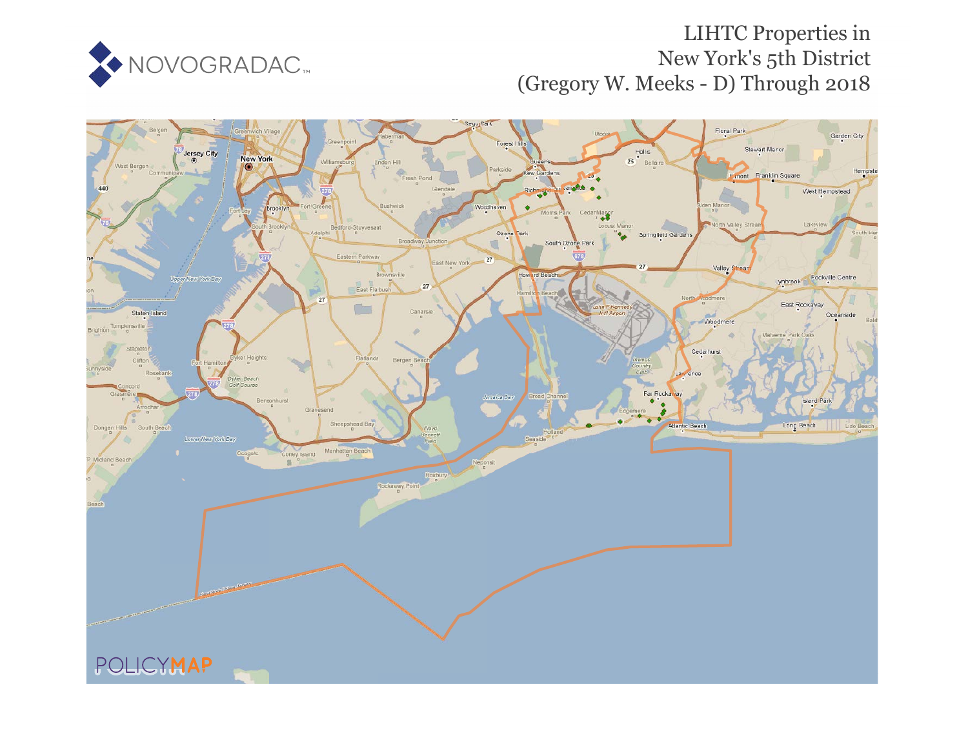

## LIHTC Properties in New York's 5th District (Gregory W. Meeks - D) Through 2018

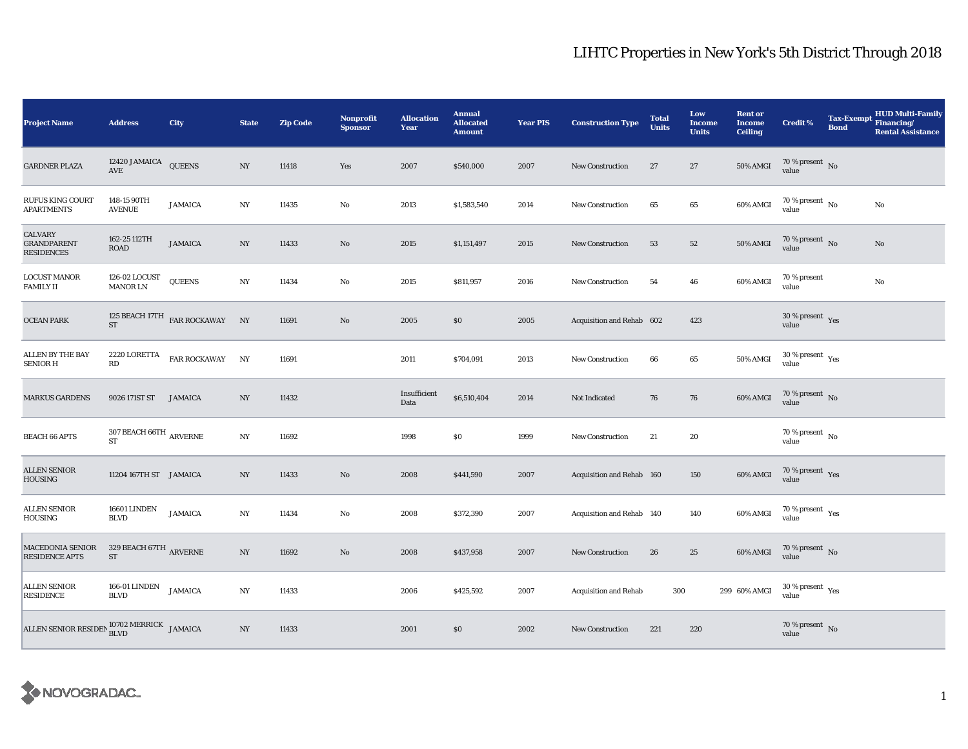## LIHTC Properties in New York's 5th District Through 2018

| <b>Project Name</b>                                               | <b>Address</b>                                                  | City                               | <b>State</b>     | <b>Zip Code</b> | Nonprofit<br><b>Sponsor</b> | <b>Allocation</b><br>Year | <b>Annual</b><br><b>Allocated</b><br><b>Amount</b> | <b>Year PIS</b> | <b>Construction Type</b>     | <b>Total</b><br><b>Units</b> | Low<br><b>Income</b><br><b>Units</b> | <b>Rent or</b><br><b>Income</b><br><b>Ceiling</b> | <b>Credit %</b>                             | <b>Bond</b> | HUD Multi-Family<br>Tax-Exempt Financing/<br><b>Rental Assistance</b> |
|-------------------------------------------------------------------|-----------------------------------------------------------------|------------------------------------|------------------|-----------------|-----------------------------|---------------------------|----------------------------------------------------|-----------------|------------------------------|------------------------------|--------------------------------------|---------------------------------------------------|---------------------------------------------|-------------|-----------------------------------------------------------------------|
| <b>GARDNER PLAZA</b>                                              | 12420 JAMAICA QUEENS<br>$\operatorname{AVE}$                    |                                    | NY               | 11418           | Yes                         | 2007                      | \$540,000                                          | 2007            | <b>New Construction</b>      | 27                           | 27                                   | <b>50% AMGI</b>                                   | $70\,\%$ present $\,$ No value              |             |                                                                       |
| <b>RUFUS KING COURT</b><br><b>APARTMENTS</b>                      | 148-15 90TH<br><b>AVENUE</b>                                    | <b>JAMAICA</b>                     | NY               | 11435           | $\mathbf{No}$               | 2013                      | \$1,583,540                                        | 2014            | <b>New Construction</b>      | 65                           | 65                                   | 60% AMGI                                          | $70\,\%$ present $\,$ No value              |             | $\rm No$                                                              |
| CALVARY<br><b>GRANDPARENT</b><br><b>RESIDENCES</b>                | 162-25 112TH<br><b>ROAD</b>                                     | <b>JAMAICA</b>                     | NY               | 11433           | No                          | 2015                      | \$1,151,497                                        | 2015            | <b>New Construction</b>      | 53                           | $52\,$                               | 50% AMGI                                          | $70\,\%$ present $\,$ No value              |             | $\rm No$                                                              |
| <b>LOCUST MANOR</b><br><b>FAMILY II</b>                           | 126-02 LOCUST<br><b>MANOR LN</b>                                | <b>QUEENS</b>                      | NY               | 11434           | $\mathbf{No}$               | 2015                      | \$811,957                                          | 2016            | New Construction             | 54                           | 46                                   | 60% AMGI                                          | 70 % present<br>value                       |             | $\rm No$                                                              |
| <b>OCEAN PARK</b>                                                 | $\operatorname{ST}$                                             | 125 BEACH 17TH $$\tt FAR$ ROCKAWAY | NY               | 11691           | No                          | 2005                      | \$0                                                | 2005            | Acquisition and Rehab 602    |                              | 423                                  |                                                   | $30\,\%$ present $\,$ Yes value             |             |                                                                       |
| ALLEN BY THE BAY<br><b>SENIOR H</b>                               | 2220 LORETTA<br>$\mathbf{R}\mathbf{D}$                          | <b>FAR ROCKAWAY</b>                | NY               | 11691           |                             | 2011                      | \$704,091                                          | 2013            | <b>New Construction</b>      | 66                           | 65                                   | 50% AMGI                                          | $30\,\%$ present $\,$ Yes value             |             |                                                                       |
| <b>MARKUS GARDENS</b>                                             | 9026 171ST ST                                                   | JAMAICA                            | NY               | 11432           |                             | Insufficient<br>Data      | \$6,510,404                                        | 2014            | Not Indicated                | 76                           | 76                                   | 60% AMGI                                          | $70\,\%$ present $\,$ No value              |             |                                                                       |
| <b>BEACH 66 APTS</b>                                              | $307$ BEACH $66 \mathrm{TH}$ $_{\mathrm{ARVERNE}}$<br><b>ST</b> |                                    | NY               | 11692           |                             | 1998                      | \$0                                                | 1999            | <b>New Construction</b>      | 21                           | 20                                   |                                                   | $70\,\%$ present $\,$ No value              |             |                                                                       |
| <b>ALLEN SENIOR</b><br><b>HOUSING</b>                             | 11204 167TH ST JAMAICA                                          |                                    | NY               | 11433           | No                          | 2008                      | \$441,590                                          | 2007            | Acquisition and Rehab 160    |                              | 150                                  | $60\%$ AMGI                                       | $70\,\%$ present $\;\;$ Yes value           |             |                                                                       |
| ALLEN SENIOR<br>HOUSING                                           | 16601 LINDEN<br><b>BLVD</b>                                     | <b>JAMAICA</b>                     | NY               | 11434           | No                          | 2008                      | \$372,390                                          | 2007            | Acquisition and Rehab 140    |                              | 140                                  | 60% AMGI                                          | $70\,\%$ present $\;\gamma_{\rm e s}$ value |             |                                                                       |
| MACEDONIA SENIOR<br>RESIDENCE APTS                                | $329$ BEACH $67 \mathrm{TH}$ ARVERNE<br>ST                      |                                    | NY               | 11692           | $\rm No$                    | 2008                      | \$437,958                                          | 2007            | <b>New Construction</b>      | 26                           | 25                                   | 60% AMGI                                          | $70$ % present $$\rm \, No$$ value          |             |                                                                       |
| ALLEN SENIOR<br><b>RESIDENCE</b>                                  | 166-01 LINDEN<br><b>BLVD</b>                                    | <b>JAMAICA</b>                     | $_{\mathrm{NY}}$ | 11433           |                             | 2006                      | \$425,592                                          | 2007            | <b>Acquisition and Rehab</b> | 300                          |                                      | 299 60% AMGI                                      | $30\,\%$ present $\,$ Yes value             |             |                                                                       |
| ALLEN SENIOR RESIDEN $_{\rm BLVD}^{10702 \rm \, MERRICK}$ JAMAICA |                                                                 |                                    | NY               | 11433           |                             | 2001                      | \$0                                                | 2002            | <b>New Construction</b>      | 221                          | 220                                  |                                                   | $70\,\%$ present $\,$ No value              |             |                                                                       |

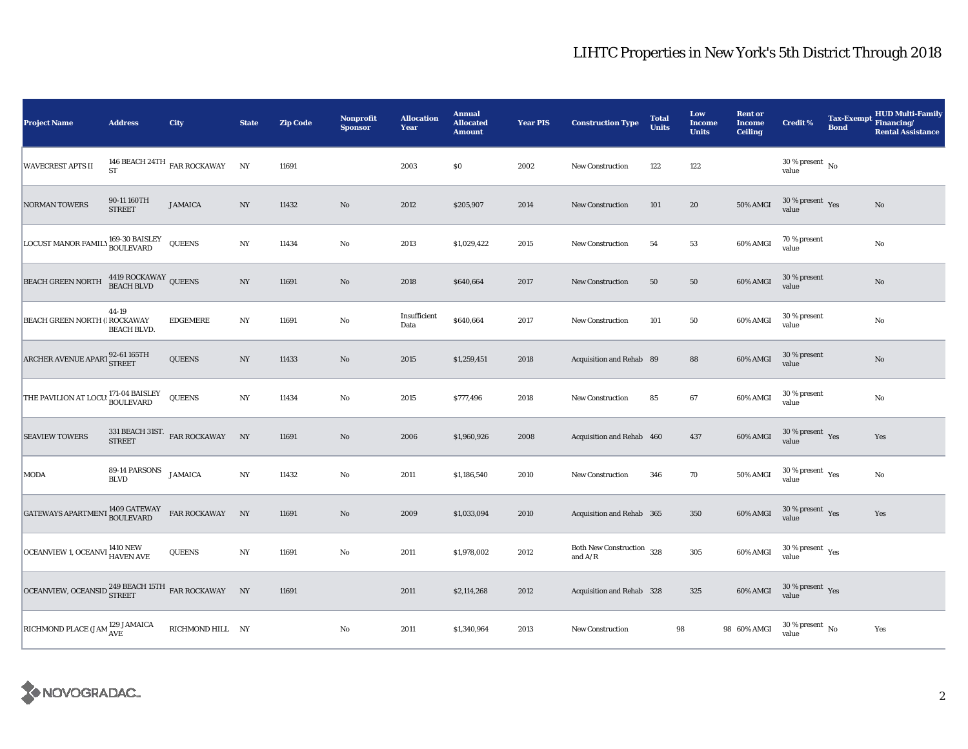## LIHTC Properties in New York's 5th District Through 2018

| <b>Project Name</b>                                        | <b>Address</b>                     | <b>City</b>                                 | <b>State</b>     | <b>Zip Code</b> | <b>Nonprofit</b><br><b>Sponsor</b> | <b>Allocation</b><br>Year | <b>Annual</b><br><b>Allocated</b><br><b>Amount</b> | <b>Year PIS</b> | <b>Construction Type</b>                                                           | <b>Total</b><br><b>Units</b> | Low<br><b>Income</b><br><b>Units</b> | <b>Rent or</b><br><b>Income</b><br><b>Ceiling</b> | <b>Credit %</b>                                 | <b>Tax-Exempt</b><br><b>Bond</b> | <b>HUD Multi-Family</b><br>Financing/<br><b>Rental Assistance</b> |
|------------------------------------------------------------|------------------------------------|---------------------------------------------|------------------|-----------------|------------------------------------|---------------------------|----------------------------------------------------|-----------------|------------------------------------------------------------------------------------|------------------------------|--------------------------------------|---------------------------------------------------|-------------------------------------------------|----------------------------------|-------------------------------------------------------------------|
| <b>WAVECREST APTS II</b>                                   | <b>ST</b>                          | 146 BEACH 24TH $_{\rm FAR}$ ROCKAWAY        | NY               | 11691           |                                    | 2003                      | \$0                                                | 2002            | <b>New Construction</b>                                                            | 122                          | 122                                  |                                                   | $30$ % present $\,$ No $\,$<br>value            |                                  |                                                                   |
| <b>NORMAN TOWERS</b>                                       | 90-11 160TH<br><b>STREET</b>       | <b>JAMAICA</b>                              | NY               | 11432           | No                                 | 2012                      | \$205,907                                          | 2014            | <b>New Construction</b>                                                            | 101                          | 20                                   | 50% AMGI                                          | 30 % present $\gamma_{\rm{ES}}$<br>value        |                                  | No                                                                |
| LOCUST MANOR FAMILY 169-30 BAISLEY                         |                                    | <b>QUEENS</b>                               | NY               | 11434           | No                                 | 2013                      | \$1,029,422                                        | 2015            | New Construction                                                                   | 54                           | 53                                   | 60% AMGI                                          | 70 % present<br>value                           |                                  | $\mathbf{No}$                                                     |
| <b>BEACH GREEN NORTH</b>                                   | 4419 ROCKAWAY QUEENS<br>BEACH BLVD |                                             | NY               | 11691           | $\mathbf{No}$                      | 2018                      | \$640,664                                          | 2017            | <b>New Construction</b>                                                            | 50                           | 50                                   | 60% AMGI                                          | 30 % present<br>value                           |                                  | $\rm No$                                                          |
| <b>BEACH GREEN NORTH ( ROCKAWAY</b>                        | 44-19<br><b>BEACH BLVD.</b>        | <b>EDGEMERE</b>                             | $_{\mathrm{NY}}$ | 11691           | $\mathbf{No}$                      | Insufficient<br>Data      | \$640,664                                          | 2017            | <b>New Construction</b>                                                            | 101                          | ${\bf 50}$                           | 60% AMGI                                          | 30 % present<br>value                           |                                  | $\rm No$                                                          |
| ARCHER AVENUE APART 92-61 165TH                            |                                    | <b>QUEENS</b>                               | $_{\mathrm{NY}}$ | 11433           | $\mathbf{No}$                      | 2015                      | \$1,259,451                                        | 2018            | Acquisition and Rehab 89                                                           |                              | 88                                   | 60% AMGI                                          | 30 % present<br>value                           |                                  | $\rm No$                                                          |
| THE PAVILION AT LOCU: 171-04 BAISLEY                       |                                    | <b>QUEENS</b>                               | $_{\mathrm{NY}}$ | 11434           | $\mathbf{No}$                      | 2015                      | \$777,496                                          | 2018            | New Construction                                                                   | 85                           | 67                                   | 60% AMGI                                          | 30 % present<br>value                           |                                  | $\rm No$                                                          |
| <b>SEAVIEW TOWERS</b>                                      |                                    | 331 BEACH 31ST.<br>$\;$ FAR ROCKAWAY STREET | NY               | 11691           | $\mathbf{No}$                      | 2006                      | \$1,960,926                                        | 2008            | Acquisition and Rehab 460                                                          |                              | 437                                  | 60% AMGI                                          | $30$ % present $\,$ $\rm Yes$<br>value          |                                  | Yes                                                               |
| <b>MODA</b>                                                | 89-14 PARSONS<br><b>BLVD</b>       | <b>JAMAICA</b>                              | $_{\mathrm{NY}}$ | 11432           | $\mathbf{No}$                      | 2011                      | \$1,186,540                                        | 2010            | <b>New Construction</b>                                                            | 346                          | 70                                   | <b>50% AMGI</b>                                   | $30\,\%$ present $\rm\thinspace_{Yes}$<br>value |                                  | $\rm No$                                                          |
| GATEWAYS APARTMENT 1409 GATEWAY                            |                                    | FAR ROCKAWAY                                | NY               | 11691           | $\mathbf{N}\mathbf{o}$             | 2009                      | \$1,033,094                                        | 2010            | Acquisition and Rehab 365                                                          |                              | 350                                  | 60% AMGI                                          | $30\,\%$ present $\,$ Yes value                 |                                  | Yes                                                               |
| OCEANVIEW 1, OCEANVI <sup>1410</sup> NEW HAVEN AVE         |                                    | <b>QUEENS</b>                               | $_{\mathrm{NY}}$ | 11691           | $\mathbf{No}$                      | 2011                      | \$1,978,002                                        | 2012            | Both New Construction 328<br>and $\ensuremath{\mathrm{A}}/\ensuremath{\mathrm{R}}$ |                              | 305                                  | 60% AMGI                                          | $30$ % present $\rm\thinspace\,Yes$<br>value    |                                  |                                                                   |
| OCEANVIEW, OCEANSID $^{249}_{\rm{SIREET}}$ EAR ROCKAWAY NY |                                    |                                             |                  | 11691           |                                    | 2011                      | \$2,114,268                                        | 2012            | Acquisition and Rehab 328                                                          |                              | 325                                  | 60% AMGI                                          | $30\,\%$ present $\,$ Yes value                 |                                  |                                                                   |
| RICHMOND PLACE (JAM $^{129}_{\rm{AVE}}$ JAMAICA            |                                    | RICHMOND HILL NY                            |                  |                 | No                                 | 2011                      | \$1,340,964                                        | 2013            | New Construction                                                                   | 98                           |                                      | 98 60% AMGI                                       | $30$ % present $\,$ No $\,$<br>value            |                                  | Yes                                                               |